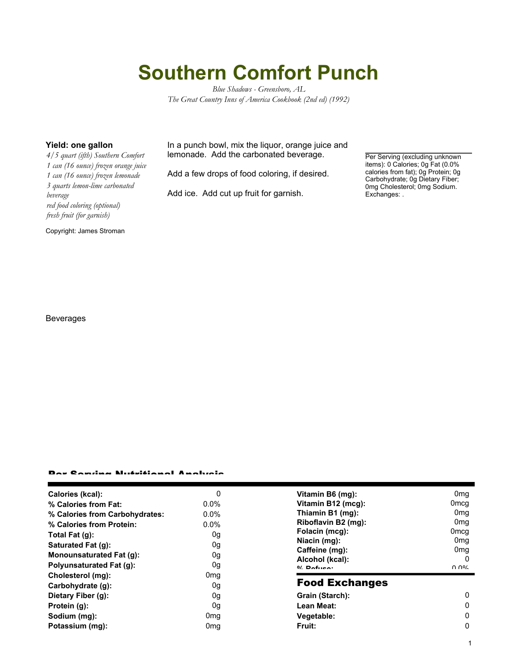## **Southern Comfort Punch**

*Blue Shadows - Greensboro, AL The Great Country Inns of America Cookbook (2nd ed) (1992)*

*4/5 quart (ifth) Southern Comfort 1 can (16 ounce) frozen orange juice 1 can (16 ounce) frozen lemonade 3 quarts lemon-lime carbonated beverage red food coloring (optional) fresh fruit (for garnish)*

Copyright: James Stroman

**Yield: one gallon** In a punch bowl, mix the liquor, orange juice and lemonade. Add the carbonated beverage.

Add a few drops of food coloring, if desired.

Add ice. Add cut up fruit for garnish.

Per Serving (excluding unknown items): 0 Calories; 0g Fat (0.0% calories from fat); 0g Protein; 0g Carbohydrate; 0g Dietary Fiber; 0mg Cholesterol; 0mg Sodium. Exchanges: .

Beverages

## Per Serving Nutritional Analysis

| Calories (kcal):                | 0               | Vitamin B6 (mg):                  | 0 <sub>mq</sub>  |
|---------------------------------|-----------------|-----------------------------------|------------------|
| % Calories from Fat:            | $0.0\%$         | Vitamin B12 (mcg):                | 0 <sub>mcg</sub> |
| % Calories from Carbohydrates:  | $0.0\%$         | Thiamin B1 (mg):                  | 0 <sub>mq</sub>  |
| % Calories from Protein:        | $0.0\%$         | Riboflavin B2 (mg):               | 0 <sub>mq</sub>  |
| Total Fat $(g)$ :               | 0g              | Folacin (mcg):                    | 0 <sub>mcq</sub> |
| Saturated Fat (g):              | 0g              | Niacin (mg):                      | 0 <sub>mg</sub>  |
| <b>Monounsaturated Fat (g):</b> | 0g              | Caffeine (mg):                    | 0 <sub>mg</sub>  |
| Polyunsaturated Fat (q):        | 0g              | Alcohol (kcal):<br>$0/2$ Pofileo: | 0<br>በ በ%        |
| Cholesterol (mg):               | 0 <sub>mg</sub> |                                   |                  |
| Carbohydrate (g):               | 0g              | <b>Food Exchanges</b>             |                  |
| Dietary Fiber (g):              | 0g              | Grain (Starch):                   | $\Omega$         |
| Protein (g):                    | 0g              | Lean Meat:                        | 0                |
| Sodium (mg):                    | 0 <sub>mq</sub> | Vegetable:                        | 0                |
| Potassium (mg):                 | 0 <sub>mq</sub> | Fruit:                            | 0                |